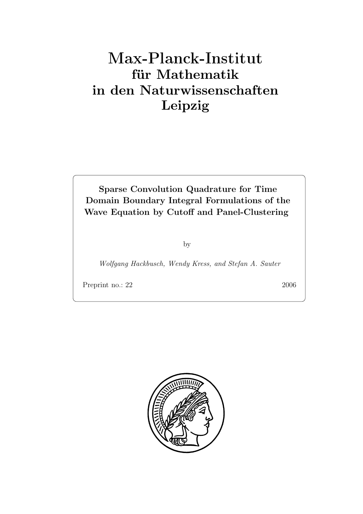# **für Mathematik in den Naturwissenschaften Leipzig**

**Sparse Convolution Quadrature for Time Domain Boundary Integral Formulations of the Wave Equation by Cutoff and Panel-Clustering**

by

*Wolfgang Hackbusch, Wendy Kress, and Stefan A. Sauter*

Preprint no.: 22 2006

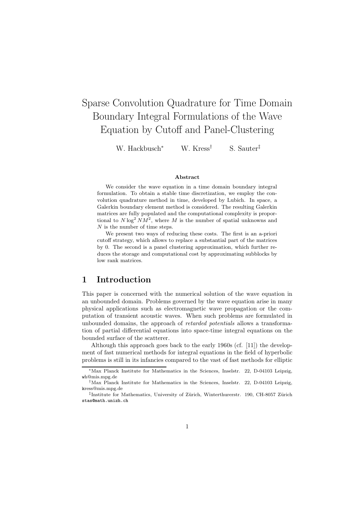# Sparse Convolution Quadrature for Time Domain Boundary Integral Formulations of the Wave Equation by Cutoff and Panel-Clustering

W. Hackbusch<sup>∗</sup> W. Kress† S. Sauter‡

#### **Abstract**

We consider the wave equation in a time domain boundary integral formulation. To obtain a stable time discretization, we employ the convolution quadrature method in time, developed by Lubich. In space, a Galerkin boundary element method is considered. The resulting Galerkin matrices are fully populated and the computational complexity is proportional to  $N \log^2 N M^2$ , where *M* is the number of spatial unknowns and *N* is the number of time steps.

We present two ways of reducing these costs. The first is an a-priori cutoff strategy, which allows to replace a substantial part of the matrices by 0. The second is a panel clustering approximation, which further reduces the storage and computational cost by approximating subblocks by low rank matrices.

## **1 Introduction**

This paper is concerned with the numerical solution of the wave equation in an unbounded domain. Problems governed by the wave equation arise in many physical applications such as electromagnetic wave propagation or the computation of transient acoustic waves. When such problems are formulated in unbounded domains, the approach of *retarded potentials* allows a transformation of partial differential equations into space-time integral equations on the bounded surface of the scatterer.

Although this approach goes back to the early 1960s (cf. [11]) the development of fast numerical methods for integral equations in the field of hyperbolic problems is still in its infancies compared to the vast of fast methods for elliptic

<sup>∗</sup>Max Planck Institute for Mathematics in the Sciences, Inselstr. 22, D-04103 Leipzig, wh@mis.mpg.de

<sup>†</sup>Max Planck Institute for Mathematics in the Sciences, Inselstr. 22, D-04103 Leipzig, kress@mis.mpg.de

<sup>&</sup>lt;sup>‡</sup>Institute for Mathematics, University of Zürich, Winterthurerstr. 190, CH-8057 Zürich stas@math.unizh.ch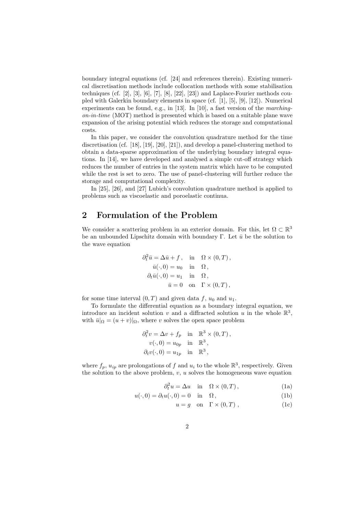boundary integral equations (cf. [24] and references therein). Existing numerical discretisation methods include collocation methods with some stabilisation techniques (cf.  $[2]$ ,  $[3]$ ,  $[6]$ ,  $[7]$ ,  $[8]$ ,  $[22]$ ,  $[23]$ ) and Laplace-Fourier methods coupled with Galerkin boundary elements in space (cf. [1], [5], [9], [12]). Numerical experiments can be found, e.g., in [13]. In [10], a fast version of the *marchingon-in-time* (MOT) method is presented which is based on a suitable plane wave expansion of the arising potential which reduces the storage and computational costs.

In this paper, we consider the convolution quadrature method for the time discretisation (cf. [18], [19], [20], [21]), and develop a panel-clustering method to obtain a data-sparse approximation of the underlying boundary integral equations. In [14], we have developed and analysed a simple cut-off strategy which reduces the number of entries in the system matrix which have to be computed while the rest is set to zero. The use of panel-clustering will further reduce the storage and computational complexity.

In [25], [26], and [27] Lubich's convolution quadrature method is applied to problems such as viscoelastic and poroelastic continua.

## **2 Formulation of the Problem**

We consider a scattering problem in an exterior domain. For this, let  $\Omega \subset \mathbb{R}^3$ be an unbounded Lipschitz domain with boundary Γ. Let  $\bar{u}$  be the solution to the wave equation

$$
\partial_t^2 \bar{u} = \Delta \bar{u} + f, \quad \text{in} \quad \Omega \times (0, T),
$$

$$
\bar{u}(\cdot, 0) = u_0 \quad \text{in} \quad \Omega,
$$

$$
\partial_t \bar{u}(\cdot, 0) = u_1 \quad \text{in} \quad \Omega,
$$

$$
\bar{u} = 0 \quad \text{on} \quad \Gamma \times (0, T),
$$

for some time interval  $(0, T)$  and given data f,  $u_0$  and  $u_1$ .

To formulate the differential equation as a boundary integral equation, we introduce an incident solution v and a diffracted solution u in the whole  $\mathbb{R}^3$ , with  $\bar{u}|_{\Omega} = (u + v)|_{\Omega}$ , where v solves the open space problem

$$
\partial_t^2 v = \Delta v + f_p \quad \text{in} \quad \mathbb{R}^3 \times (0, T),
$$
  
\n
$$
v(\cdot, 0) = u_{0p} \quad \text{in} \quad \mathbb{R}^3,
$$
  
\n
$$
\partial_t v(\cdot, 0) = u_{1p} \quad \text{in} \quad \mathbb{R}^3,
$$

where  $f_p$ ,  $u_{ip}$  are prolongations of f and  $u_i$  to the whole  $\mathbb{R}^3$ , respectively. Given the solution to the above problem,  $v, u$  solves the homogeneous wave equation

$$
\partial_t^2 u = \Delta u \quad \text{in} \quad \Omega \times (0, T) \,, \tag{1a}
$$

$$
u(\cdot,0) = \partial_t u(\cdot,0) = 0 \quad \text{in} \quad \Omega, \tag{1b}
$$

$$
u = g \quad \text{on} \quad \Gamma \times (0, T) \tag{1c}
$$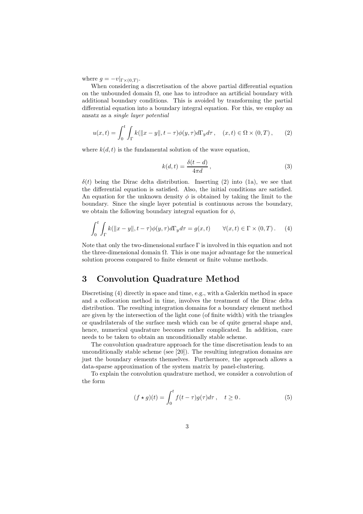where  $g = -v|_{\Gamma \times (0,T)}$ .

When considering a discretisation of the above partial differential equation on the unbounded domain  $\Omega$ , one has to introduce an artificial boundary with additional boundary conditions. This is avoided by transforming the partial differential equation into a boundary integral equation. For this, we employ an ansatz as a *single layer potential*

$$
u(x,t) = \int_0^t \int_{\Gamma} k(||x - y||, t - \tau) \phi(y, \tau) d\Gamma_y d\tau, \quad (x, t) \in \Omega \times (0, T), \quad (2)
$$

where  $k(d, t)$  is the fundamental solution of the wave equation,

$$
k(d,t) = \frac{\delta(t-d)}{4\pi d},
$$
\n(3)

 $\delta(t)$  being the Dirac delta distribution. Inserting (2) into (1a), we see that the differential equation is satisfied. Also, the initial conditions are satisfied. An equation for the unknown density  $\phi$  is obtained by taking the limit to the boundary. Since the single layer potential is continuous across the boundary, we obtain the following boundary integral equation for  $\phi$ ,

$$
\int_0^t \int_{\Gamma} k(\|x - y\|, t - \tau) \phi(y, \tau) d\Gamma_y d\tau = g(x, t) \qquad \forall (x, t) \in \Gamma \times (0, T). \tag{4}
$$

Note that only the two-dimensional surface Γ is involved in this equation and not the three-dimensional domain  $\Omega$ . This is one major advantage for the numerical solution process compared to finite element or finite volume methods.

## **3 Convolution Quadrature Method**

Discretising (4) directly in space and time, e.g., with a Galerkin method in space and a collocation method in time, involves the treatment of the Dirac delta distribution. The resulting integration domains for a boundary element method are given by the intersection of the light cone (of finite width) with the triangles or quadrilaterals of the surface mesh which can be of quite general shape and, hence, numerical quadrature becomes rather complicated. In addition, care needs to be taken to obtain an unconditionally stable scheme.

The convolution quadrature approach for the time discretisation leads to an unconditionally stable scheme (see [20]). The resulting integration domains are just the boundary elements themselves. Furthermore, the approach allows a data-sparse approximation of the system matrix by panel-clustering.

To explain the convolution quadrature method, we consider a convolution of the form

$$
(f \star g)(t) = \int_0^t f(t - \tau)g(\tau)d\tau, \quad t \ge 0.
$$
 (5)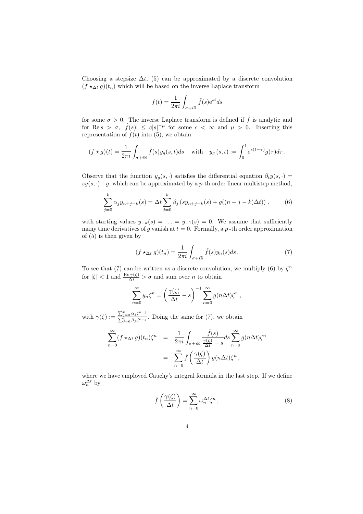Choosing a stepsize  $\Delta t$ , (5) can be approximated by a discrete convolution  $(f \star_{\Delta t} g)(t_n)$  which will be based on the inverse Laplace transform

$$
f(t) = \frac{1}{2\pi i} \int_{\sigma + i\mathbb{R}} \hat{f}(s) e^{st} ds
$$

for some  $\sigma > 0$ . The inverse Laplace transform is defined if  $\hat{f}$  is analytic and for Re  $s > \sigma$ ,  $|\widehat{f}(s)| \leq c|s|^{-\mu}$  for some  $c < \infty$  and  $\mu > 0$ . Inserting this representation of  $f(t)$  into (5), we obtain

$$
(f \star g)(t) = \frac{1}{2\pi i} \int_{\sigma + i\mathbb{R}} \hat{f}(s) y_g(s, t) ds \quad \text{with} \quad y_g(s, t) := \int_0^t e^{s(t - \tau)} g(\tau) d\tau.
$$

Observe that the function  $y_g(s, \cdot)$  satisfies the differential equation  $\partial_t y(s, \cdot)$  =  $sy(s, \cdot) + g$ , which can be approximated by a p-th order linear multistep method,

$$
\sum_{j=0}^{k} \alpha_j y_{n+j-k}(s) = \Delta t \sum_{j=0}^{k} \beta_j (s y_{n+j-k}(s) + g((n+j-k)\Delta t)), \qquad (6)
$$

with starting values  $y_{-k}(s) = \ldots = y_{-1}(s) = 0$ . We assume that sufficiently many time derivatives of g vanish at  $t = 0$ . Formally, a p-th order approximation of (5) is then given by

$$
(f \star_{\Delta t} g)(t_n) = \frac{1}{2\pi i} \int_{\sigma + i\mathbb{R}} \hat{f}(s) y_n(s) ds.
$$
 (7)

To see that (7) can be written as a discrete convolution, we multiply (6) by  $\zeta^n$ for  $|\zeta| < 1$  and  $\frac{\text{Re } \gamma(\zeta)}{\Delta t} > \sigma$  and sum over *n* to obtain

$$
\sum_{n=0}^{\infty} y_n \zeta^n = \left(\frac{\gamma(\zeta)}{\Delta t} - s\right)^{-1} \sum_{n=0}^{\infty} g(n \Delta t) \zeta^n,
$$

with  $\gamma(\zeta) := \frac{\sum_{j=0}^k \alpha_j \zeta^{k-j}}{\sum_{j=0}^k \beta_j \zeta^{k-j}}$ . Doing the same for (7), we obtain

$$
\sum_{n=0}^{\infty} (f \star_{\Delta t} g)(t_n) \zeta^n = \frac{1}{2\pi i} \int_{\sigma + i\mathbb{R}} \frac{\hat{f}(s)}{\frac{\gamma(\zeta)}{\Delta t} - s} ds \sum_{n=0}^{\infty} g(n\Delta t) \zeta^n
$$

$$
= \sum_{n=0}^{\infty} \hat{f}\left(\frac{\gamma(\zeta)}{\Delta t}\right) g(n\Delta t) \zeta^n,
$$

where we have employed Cauchy's integral formula in the last step. If we define  $\omega_n^{\Delta t}$  by

$$
\hat{f}\left(\frac{\gamma(\zeta)}{\Delta t}\right) = \sum_{n=0}^{\infty} \omega_n^{\Delta t} \zeta^n ,\qquad (8)
$$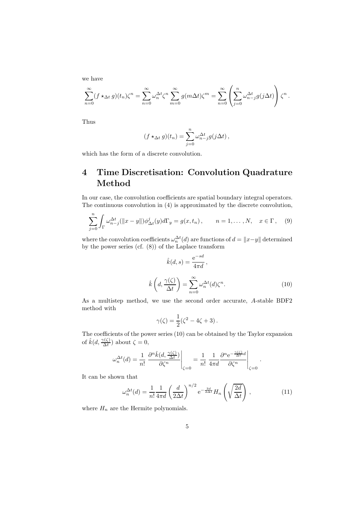we have

$$
\sum_{n=0}^{\infty} (f \star_{\Delta t} g)(t_n) \zeta^n = \sum_{n=0}^{\infty} \omega_n^{\Delta t} \zeta^n \sum_{m=0}^{\infty} g(m \Delta t) \zeta^m = \sum_{n=0}^{\infty} \left( \sum_{j=0}^n \omega_{n-j}^{\Delta t} g(j \Delta t) \right) \zeta^n.
$$

Thus

$$
(f \star_{\Delta t} g)(t_n) = \sum_{j=0}^n \omega_{n-j}^{\Delta t} g(j\Delta t),
$$

which has the form of a discrete convolution.

# **4 Time Discretisation: Convolution Quadrature Method**

In our case, the convolution coefficients are spatial boundary integral operators. The continuous convolution in (4) is approximated by the discrete convolution,

$$
\sum_{j=0}^{n} \int_{\Gamma} \omega_{n-j}^{\Delta t} (\|x-y\|) \phi_{\Delta t}^{j}(y) d\Gamma_{y} = g(x, t_{n}), \qquad n = 1, \dots, N, \quad x \in \Gamma, \quad (9)
$$

where the convolution coefficients  $\omega_n^{\Delta t}(d)$  are functions of  $d = ||x-y||$  determined by the power series (cf.  $(8)$ ) of the Laplace transform

$$
\hat{k}(d,s) = \frac{e^{-sd}}{4\pi d},
$$
\n
$$
\hat{k}\left(d, \frac{\gamma(\zeta)}{\Delta t}\right) = \sum_{n=0}^{\infty} \omega_n^{\Delta t}(d)\zeta^n.
$$
\n(10)

.

As a multistep method, we use the second order accurate, A-stable BDF2 method with

$$
\gamma(\zeta) = \frac{1}{2}(\zeta^2 - 4\zeta + 3).
$$

The coefficients of the power series (10) can be obtained by the Taylor expansion of  $\hat{k}(d, \frac{\gamma(\zeta)}{\Delta t})$  about  $\zeta = 0$ ,

$$
\omega_n^{\Delta t}(d) = \frac{1}{n!} \left. \frac{\partial^n \hat{k}(d, \frac{\gamma(\zeta)}{\Delta t})}{\partial \zeta^n} \right|_{\zeta=0} = \frac{1}{n!} \left. \frac{1}{4\pi d} \frac{\partial^n e^{-\frac{\gamma(\zeta)}{\Delta t}d}}{\partial \zeta^n} \right|_{\zeta=0}
$$

It can be shown that

$$
\omega_n^{\Delta t}(d) = \frac{1}{n!} \frac{1}{4\pi d} \left(\frac{d}{2\Delta t}\right)^{n/2} e^{-\frac{3d}{2\Delta t}} H_n\left(\sqrt{\frac{2d}{\Delta t}}\right),\tag{11}
$$

where  $H_n$  are the Hermite polynomials.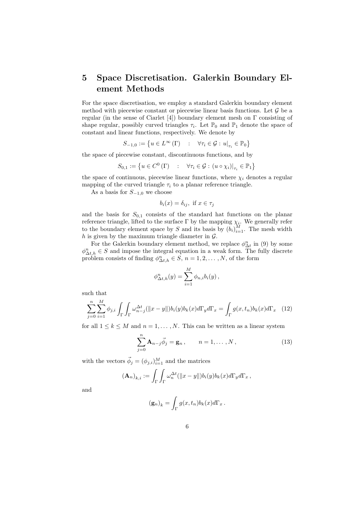## **5 Space Discretisation. Galerkin Boundary Element Methods**

For the space discretisation, we employ a standard Galerkin boundary element method with piecewise constant or piecewise linear basis functions. Let  $\mathcal G$  be a regular (in the sense of Ciarlet [4]) boundary element mesh on  $\Gamma$  consisting of shape regular, possibly curved triangles  $\tau_i$ . Let  $\mathbb{P}_0$  and  $\mathbb{P}_1$  denote the space of constant and linear functions, respectively. We denote by

$$
S_{-1,0} := \left\{ u \in L^{\infty}(\Gamma) \quad : \quad \forall \tau_i \in \mathcal{G} : u|_{\tau_i} \in \mathbb{P}_0 \right\}
$$

the space of piecewise constant, discontinuous functions, and by

$$
S_{0,1} := \left\{ u \in C^0 \left( \Gamma \right) \quad : \quad \forall \tau_i \in \mathcal{G} : \left( u \circ \chi_i \right) \big|_{\tau_i} \in \mathbb{P}_1 \right\}
$$

the space of continuous, piecewise linear functions, where  $\chi_i$  denotes a regular mapping of the curved triangle  $\tau_i$  to a planar reference triangle.

As a basis for  $S_{-1,0}$  we choose

$$
b_i(x) = \delta_{ij}, \text{ if } x \in \tau_j
$$

and the basis for  $S_{0,1}$  consists of the standard hat functions on the planar reference triangle, lifted to the surface  $\Gamma$  by the mapping  $\chi_i$ . We generally refer to the boundary element space by S and its basis by  $(b_i)_{i=1}^M$ . The mesh width h is given by the maximum triangle diameter in G h is given by the maximum triangle diameter in  $\mathcal{G}$ .

For the Galerkin boundary element method, we replace  $\phi_{\Delta t}^n$  in (9) by some  $\in S$  and impose the integral equation in a weak form. The fully discrete  $\phi_{\Delta t,h}^n \in S$  and impose the integral equation in a weak form. The fully discrete<br>problem consists of finding  $\phi^n$ ,  $\in S$ ,  $n-1, 2$ , N, of the form problem consists of finding  $\phi_{\Delta t,h}^n \in S$ ,  $n = 1, 2, ..., N$ , of the form

$$
\phi_{\Delta t,h}^n(y) = \sum_{i=1}^M \phi_{n,i} b_i(y),
$$

such that

$$
\sum_{j=0}^{n} \sum_{i=1}^{M} \phi_{j,i} \int_{\Gamma} \int_{\Gamma} \omega_{n-j}^{\Delta t} (\|x-y\|) b_i(y) b_k(x) d\Gamma_y d\Gamma_x = \int_{\Gamma} g(x,t_n) b_k(x) d\Gamma_x \quad (12)
$$

for all  $1 \leq k \leq M$  and  $n = 1, \ldots, N$ . This can be written as a linear system

$$
\sum_{j=0}^{n} \mathbf{A}_{n-j} \vec{\phi}_j = \mathbf{g}_n, \qquad n = 1, ..., N,
$$
 (13)

with the vectors  $\vec{\phi}_j = (\phi_{j,i})_{i=1}^M$  and the matrices

$$
(\mathbf{A}_n)_{k,i} := \int_{\Gamma} \int_{\Gamma} \omega_n^{\Delta t} (\|x - y\|) b_i(y) b_k(x) d\Gamma_y d\Gamma_x,
$$

and

$$
(\mathbf{g}_n)_k = \int_{\Gamma} g(x, t_n) b_k(x) d\Gamma_x.
$$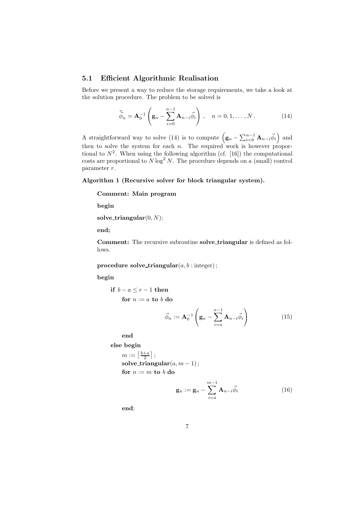## **5.1 Efficient Algorithmic Realisation**

Before we present a way to reduce the storage requirements, we take a look at the solution procedure. The problem to be solved is

$$
\tilde{\vec{\phi}}_n = \mathbf{A}_0^{-1} \left( \mathbf{g}_n - \sum_{i=0}^{n-1} \mathbf{A}_{n-i} \vec{\phi}_i \right), \quad n = 0, 1, \dots, N. \tag{14}
$$

A straightforward way to solve (14) is to compute  $(g_n - \sum_{i=0}^{n-1} A_{n-i} \vec{\phi}_i)$  and then to solve the system for each n. The required work is however proportional to  $N^2$ . When using the following algorithm (cf. [16]) the computational costs are proportional to  $N \log^2 N$ . The procedure depends on a (small) control parameter r.

**Algorithm 1 (Recursive solver for block triangular system).**

**Comment: Main program**

**begin**

 $\textbf{solve\_triangular}(0, N);$ 

**end;**

**Comment:** The recursive subroutine **solve triangular** is defined as follows.

**procedure solve\_triangular** $(a, b: \text{integer})$ ;

**begin**

if 
$$
b - a \leq r - 1
$$
 then  
for  $n := a$  to b do

$$
\vec{\phi}_n := \mathbf{A}_0^{-1} \left( \mathbf{g}_n - \sum_{i=a}^{n-1} \mathbf{A}_{n-i} \vec{\phi}_i \right) \tag{15}
$$

**end**

**else begin**

$$
m := \left\lceil \frac{b+a}{2} \right\rceil;
$$
  
solve-triangular $(a, m - 1)$ ;  
for  $n := m$  to  $b$  do

$$
\mathbf{g}_n := \mathbf{g}_n - \sum_{i=a}^{m-1} \mathbf{A}_{n-i} \vec{\phi}_i
$$
 (16)

**end**;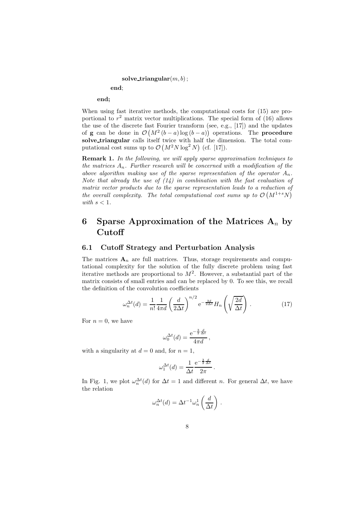$solve\_triangular(m, b)$ ; **end**;

**end;**

When using fast iterative methods, the computational costs for (15) are proportional to  $r^2$  matrix vector multiplications. The special form of (16) allows the use of the discrete fast Fourier transform (see, e.g., [17]) and the updates of **g** can be done in  $\mathcal{O}(M^2(b-a)\log(b-a))$  operations. The **procedure solve triangular** calls itself twice with half the dimension. The total computational cost sums up to  $\mathcal{O}(M^2N \log^2 N)$  (cf. [17]).

**Remark 1.** *In the following, we will apply sparse approximation techniques to the matrices*  $A_n$ *. Further research will be concerned with a modification of the above algorithm making use of the sparse representation of the operator*  $A_n$ . *Note that already the use of (14) in combination with the fast evaluation of matrix vector products due to the sparse representation leads to a reduction of the overall complexity. The total computational cost sums up to*  $\mathcal{O}(M^{1+s}N)$ *with*  $s < 1$ *.* 

## **6 Sparse Approximation of the Matrices A**<sup>n</sup> **by Cutoff**

#### **6.1 Cutoff Strategy and Perturbation Analysis**

The matrices  $A_n$  are full matrices. Thus, storage requirements and computational complexity for the solution of the fully discrete problem using fast iterative methods are proportional to  $M^2$ . However, a substantial part of the matrix consists of small entries and can be replaced by 0. To see this, we recall the definition of the convolution coefficients

$$
\omega_n^{\Delta t}(d) = \frac{1}{n!} \frac{1}{4\pi d} \left(\frac{d}{2\Delta t}\right)^{n/2} e^{-\frac{3d}{2\Delta t}} H_n\left(\sqrt{\frac{2d}{\Delta t}}\right). \tag{17}
$$

For  $n = 0$ , we have

$$
\omega_0^{\Delta t}(d) = \frac{e^{-\frac{3}{2}\frac{d}{\Delta t}}}{4\pi d},
$$

with a singularity at  $d = 0$  and, for  $n = 1$ ,

$$
\omega_1^{\Delta t}(d) = \frac{1}{\Delta t} \frac{e^{-\frac{3}{2}\frac{d}{\Delta t}}}{2\pi}.
$$

In Fig. 1, we plot  $\omega_n^{\Delta t}(d)$  for  $\Delta t = 1$  and different n. For general  $\Delta t$ , we have the relation

$$
\omega_n^{\Delta t}(d) = \Delta t^{-1} \omega_n^1 \left( \frac{d}{\Delta t} \right) .
$$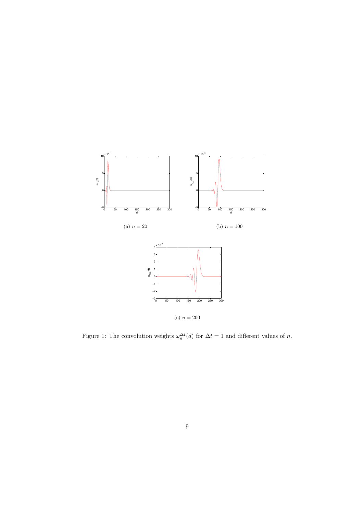

Figure 1: The convolution weights  $\omega_n^{\Delta t}(d)$  for  $\Delta t = 1$  and different values of  $n.$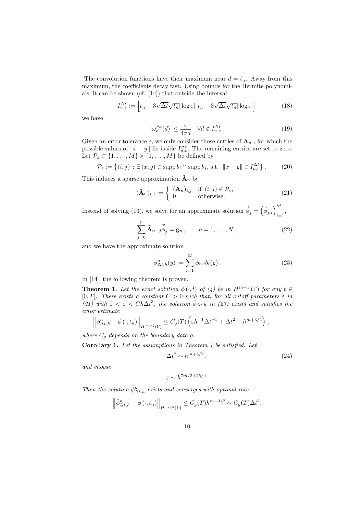The convolution functions have their maximum near  $d = t_n$ . Away from this maximum, the coefficients decay fast. Using bounds for the Hermite polynomials, it can be shown (cf. [14]) that outside the interval

$$
I_{n,\varepsilon}^{\Delta t} := \left[ t_n - 3\sqrt{\Delta t} \sqrt{t_n} |\log \varepsilon|, t_n + 3\sqrt{\Delta t} \sqrt{t_n} |\log \varepsilon| \right] \tag{18}
$$

we have

$$
|\omega_n^{\Delta t}(d)| \le \frac{\varepsilon}{4\pi d} \quad \forall d \notin I_{n,\varepsilon}^{\Delta t}.
$$
 (19)

Given an error tolerance  $\varepsilon$ , we only consider those entries of  $\mathbf{A}_n$ , for which the possible values of  $||x - y||$  lie inside  $I_{n,\varepsilon}^{\Delta t}$ . The remaining entries are set to zero. Let  $\mathcal{P}_{\varepsilon} \subset \{1, \ldots, M\} \times \{1, \ldots, M\}$  be defined by

$$
\mathcal{P}_{\varepsilon} := \left\{ (i, j) : \exists \left( x, y \right) \in \text{supp } b_i \cap \text{supp } b_j, \text{ s.t. } \|x - y\| \in I_{n, \varepsilon}^{\Delta t} \right\}. \tag{20}
$$

This induces a sparse approximation  $\tilde{\mathbf{A}}_n$  by

$$
(\tilde{\mathbf{A}}_n)_{i,j} := \begin{cases} (\mathbf{A}_n)_{i,j} & \text{if } (i,j) \in \mathcal{P}_{\varepsilon}, \\ 0 & \text{otherwise.} \end{cases}
$$
 (21)

Instead of solving (13), we solve for an approximate solution  $\vec{\phi}_j = (\tilde{\phi}_{j,i})_{i=1}^M$ ,

$$
\sum_{j=0}^{n} \tilde{\mathbf{A}}_{n-j} \vec{\tilde{\phi}}_j = \mathbf{g}_n, \qquad n = 1, \dots, N,
$$
\n(22)

and we have the approximate solution

$$
\tilde{\phi}_{\Delta t,h}^n(y) := \sum_{i=1}^M \tilde{\phi}_{n,i} b_i(y) \,. \tag{23}
$$

In [14], the following theorem is proven.

**Theorem 1.** Let the exact solution  $\phi(\cdot,t)$  of (4) be in  $H^{m+1}(\Gamma)$  for any  $t \in$  $[0, T]$ *. There exists a constant*  $C > 0$  *such that, for all cutoff parameters*  $\varepsilon$  *in*  $(21)$  with  $0 < \varepsilon < Ch\Delta t^3$ , the solution  $\tilde{\phi}_{\Delta t,h}$  *in (23) exists and satisfies the error estimate*

$$
\left\|\tilde{\phi}_{\Delta t,h}^{n} - \phi(\cdot,t_n)\right\|_{H^{-1/2}(\Gamma)} \leq C_g(T)\left(\varepsilon h^{-1}\Delta t^{-5} + \Delta t^{2} + h^{m+3/2}\right),
$$

where  $C_q$  depends on the boundary data g.

**Corollary 1.** *Let the assumptions in Theorem 1 be satisfied. Let*

$$
\Delta t^2 \sim h^{m+3/2},\tag{24}
$$

*and choose*

$$
\varepsilon \sim h^{7m/2+25/4}.
$$

Then the solution  $\tilde{\phi}_{\Delta t,h}^n$  exists and converges with optimal rate

$$
\left\|\tilde{\phi}_{\Delta t,h}^n - \phi(\cdot,t_n)\right\|_{H^{-1/2}(\Gamma)} \le C_g(T)h^{m+3/2} \sim C_g(T)\Delta t^2.
$$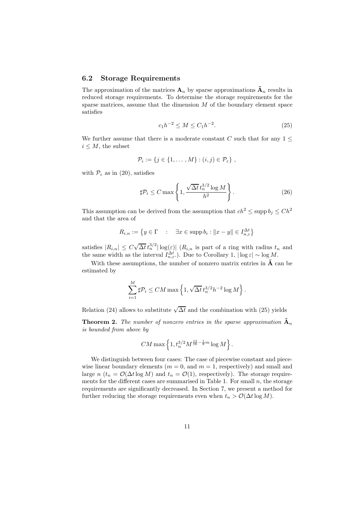### **6.2 Storage Requirements**

The approximation of the matrices  $\mathbf{A}_n$  by sparse approximations  $\tilde{\mathbf{A}}_n$  results in reduced storage requirements. To determine the storage requirements for the sparse matrices, assume that the dimension  $M$  of the boundary element space satisfies

$$
c_1 h^{-2} \le M \le C_1 h^{-2}.\tag{25}
$$

We further assume that there is a moderate constant  $C$  such that for any  $1 \leq$  $i \leq M$ , the subset

$$
\mathcal{P}_i := \{j \in \{1, \ldots, M\} : (i, j) \in \mathcal{P}_{\varepsilon}\},\,
$$

with  $P_{\varepsilon}$  as in (20), satisfies

$$
\sharp \mathcal{P}_i \le C \max \left\{ 1, \frac{\sqrt{\Delta t} \, t_n^{3/2} \log M}{h^2} \right\}.
$$
 (26)

This assumption can be derived from the assumption that  $ch^2 \leq \text{supp } b_i \leq Ch^2$ and that the area of

$$
R_{i,n} := \{ y \in \Gamma \quad : \quad \exists x \in \text{supp } b_i : ||x - y|| \in I_{n,\varepsilon}^{\Delta t} \}
$$

satisfies  $|R_{i,n}| \leq C$  $\sqrt{\Delta t} t_n^{3/2} |\log(\varepsilon)|$   $(R_{i,n}$  is part of a ring with radius  $t_n$  and the same width as the interval  $I_{n,\varepsilon}^{\Delta t}$ .). Due to Corollary 1,  $|\log \varepsilon| \sim \log M$ .

With these assumptions, the number of nonzero matrix entries in  $\tilde{A}$  can be estimated by

$$
\sum_{i=1}^{M} \sharp \mathcal{P}_i \leq CM \max \left\{ 1, \sqrt{\Delta t} \, t_n^{3/2} h^{-2} \log M \right\}.
$$

Relation (24) allows to substitute  $\sqrt{\Delta t}$  and the combination with (25) yields

**Theorem 2.** The number of nonzero entries in the sparse approximation  $\tilde{\mathbf{A}}_n$ *is bounded from above by*

$$
CM \max\left\{1, t_n^{3/2} M^{\frac{13}{16} - \frac{1}{8}m} \log M\right\}.
$$

We distinguish between four cases: The case of piecewise constant and piecewise linear boundary elements ( $m = 0$ , and  $m = 1$ , respectively) and small and large n ( $t_n = \mathcal{O}(\Delta t \log M)$  and  $t_n = \mathcal{O}(1)$ , respectively). The storage requirements for the different cases are summarised in Table 1. For small  $n$ , the storage requirements are significantly decreased. In Section 7, we present a method for further reducing the storage requirements even when  $t_n > \mathcal{O}(\Delta t \log M)$ .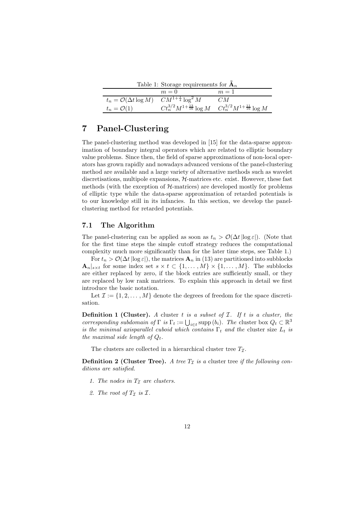| Table 1: Storage requirements for $A_n$                            |                                                                                   |       |  |
|--------------------------------------------------------------------|-----------------------------------------------------------------------------------|-------|--|
|                                                                    | $m=0$                                                                             | $m=1$ |  |
| $t_n = \mathcal{O}(\Delta t \log M)$ $CM^{1+\frac{1}{4}} \log^2 M$ |                                                                                   | CM    |  |
| $t_n = \mathcal{O}(1)$                                             | $C t_n^{3/2} M^{1+\frac{13}{16}} \log M + C t_n^{3/2} M^{1+\frac{11}{16}} \log M$ |       |  |

## **7 Panel-Clustering**

The panel-clustering method was developed in [15] for the data-sparse approximation of boundary integral operators which are related to elliptic boundary value problems. Since then, the field of sparse approximations of non-local operators has grown rapidly and nowadays advanced versions of the panel-clustering method are available and a large variety of alternative methods such as wavelet discretisations, multipole expansions,  $H$ -matrices etc. exist. However, these fast methods (with the exception of  $H$ -matrices) are developed mostly for problems of elliptic type while the data-sparse approximation of retarded potentials is to our knowledge still in its infancies. In this section, we develop the panelclustering method for retarded potentials.

## **7.1 The Algorithm**

The panel-clustering can be applied as soon as  $t_n > \mathcal{O}(\Delta t |\log \varepsilon|)$ . (Note that for the first time steps the simple cutoff strategy reduces the computational complexity much more significantly than for the later time steps, see Table 1.)

For  $t_n > \mathcal{O}(\Delta t |\log \varepsilon|)$ , the matrices  $\mathbf{A}_n$  in (13) are partitioned into subblocks  $\mathbf{A}_n|_{s\times t}$  for some index set  $s \times t \subset \{1,\ldots,M\} \times \{1,\ldots,M\}$ . The subblocks are either replaced by zero, if the block entries are sufficiently small, or they are replaced by low rank matrices. To explain this approach in detail we first introduce the basic notation.

Let  $\mathcal{I} := \{1, 2, \ldots, M\}$  denote the degrees of freedom for the space discretisation.

**Definition 1 (Cluster).** *A* cluster t *is a subset of* I*. If* t *is a cluster, the corresponding subdomain of*  $\Gamma$  *is*  $\Gamma_t := \bigcup_{i \in t} \text{supp}(b_i)$ *. The* cluster box  $Q_t \subset \mathbb{R}^3$ *is the minimal axisparallel cuboid which contains*  $\Gamma_t$  *and the cluster size*  $L_t$  *is the maximal side length of*  $Q_t$ .

The clusters are collected in a hierarchical cluster tree  $T_{\tau}$ .

**Definition 2 (Cluster Tree).** *A tree*  $T<sub>I</sub>$  *is a* cluster tree *if the following conditions are satisfied.*

- *1. The nodes in*  $T_I$  *are clusters.*
- 2. The root of  $T_{\mathcal{I}}$  is  $\mathcal{I}$ .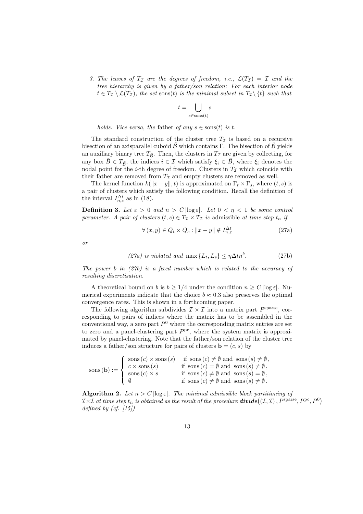3. The leaves of  $T_I$  are the degrees of freedom, i.e.,  $\mathcal{L}(T_I) = I$  and the *tree hierarchy is given by a father/son relation: For each interior node*  $t \in T_{\mathcal{I}} \setminus \mathcal{L}(T_{\mathcal{I}})$ *, the set* sons(*t*) *is the minimal subset in*  $T_{\mathcal{I}} \setminus \{t\}$  *such that* 

$$
t = \bigcup_{s \in \text{sons}(t)} s
$$

*holds. Vice versa, the* father *of any*  $s \in \text{sons}(t)$  *is* t.

The standard construction of the cluster tree  $T<sub>\mathcal{I}</sub>$  is based on a recursive bisection of an axisparallel cuboid  $\ddot{\mathcal{B}}$  which contains Γ. The bisection of  $\ddot{\mathcal{B}}$  yields an auxiliary binary tree  $T_{\tilde{\mathcal{B}}}$ . Then, the clusters in  $T_{\mathcal{I}}$  are given by collecting, for any box  $\tilde{B} \in T_{\tilde{\beta}}$ , the indices  $i \in \mathcal{I}$  which satisfy  $\xi_i \in \tilde{B}$ , where  $\xi_i$  denotes the nodal point for the *i*-th degree of freedom. Clusters in  $T<sub>\tau</sub>$  which coincide with their father are removed from  $T_{\mathcal{I}}$  and empty clusters are removed as well.

The kernel function  $k(\Vert x-y \Vert, t)$  is approximated on  $\Gamma_t \times \Gamma_s$ , where  $(t, s)$  is a pair of clusters which satisfy the following condition. Recall the definition of the interval  $I_{n,\varepsilon}^{\Delta t}$  as in (18).

**Definition 3.** Let  $\varepsilon > 0$  and  $n > C \log \varepsilon$ . Let  $0 < \eta < 1$  be some control *parameter.* A pair of clusters  $(t, s) \in T_{\mathcal{I}} \times T_{\mathcal{I}}$  is admissible at time step  $t_n$  if

$$
\forall (x, y) \in Q_t \times Q_s : \|x - y\| \notin I_{n, \varepsilon}^{\Delta t}
$$
\n(27a)

*or*

(27a) is violated and 
$$
\max\{L_t, L_s\} \leq \eta \Delta t n^b
$$
. (27b)

*The power* b *in (27b) is a fixed number which is related to the accuracy of resulting discretisation.*

A theoretical bound on b is  $b \geq 1/4$  under the condition  $n \geq C \log \varepsilon$ . Numerical experiments indicate that the choice  $b \approx 0.3$  also preserves the optimal convergence rates. This is shown in a forthcoming paper.

The following algorithm subdivides  $\mathcal{I} \times \mathcal{I}$  into a matrix part  $P<sup>sparse</sup>$ , corresponding to pairs of indices where the matrix has to be assembled in the conventional way, a zero part  $P^0$  where the corresponding matrix entries are set to zero and a panel-clustering part  $P^{pc}$ , where the system matrix is approximated by panel-clustering. Note that the father/son relation of the cluster tree induces a father/son structure for pairs of clusters  $\mathbf{b} = (c, s)$  by

$$
\text{sons}(\mathbf{b}) := \begin{cases} \text{sons}(c) \times \text{sons}(s) & \text{if sons}(c) \neq \emptyset \text{ and sons}(s) \neq \emptyset, \\ c \times \text{sons}(s) & \text{if sons}(c) = \emptyset \text{ and sons}(s) \neq \emptyset, \\ \text{sons}(c) \times s & \text{if sons}(c) \neq \emptyset \text{ and sons}(s) = \emptyset, \\ \emptyset & \text{if sons}(c) \neq \emptyset \text{ and sons}(s) \neq \emptyset. \end{cases}
$$

**Algorithm 2.** Let  $n > C \log \varepsilon$ . The minimal admissible block partitioning of  $\mathcal{I} \times \mathcal{I}$  at time step  $t_n$  is obtained as the result of the procedure  $\bm{divide}(\mathcal{I},\mathcal{I})$  ,  $P^{\mathrm{sparse}}, P^{\mathrm{pc}}, P^0)$ *defined by (cf. [15])*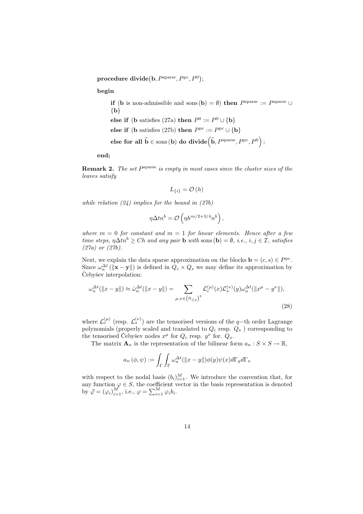$\textbf{procedure divide}(\textbf{b}, P^{\text{sparse}}, P^{\text{pc}}, P^0);$ 

**begin**

**if** (**b** is non-admissible and sons (**b**) =  $\emptyset$ ) **then**  $P^{\text{sparse}} := P^{\text{sparse}} \cup$ {**b**} **else if** (**b** satisfies (27a) **then**  $P^0 := P^0 \cup \{\mathbf{b}\}\$ **else if** (**b** satisfies (27b) **then**  $P^{pc} := P^{pc} \cup \{b\}$  $\mathbf{else} \text{ for all } \widetilde{\mathbf{b}} \in \text{sons}(\mathbf{b}) \text{ } \mathbf{do } \text{ divide} \left( \widetilde{\mathbf{b}}, P^{\text{sparse}}, P^{\text{pc}}, P^0 \right);$ 

**end;**

**Remark 2.** *The set* Psparse *is empty in most cases since the cluster sizes of the leaves satisfy*

$$
L_{\{i\}}=\mathcal{O}\left(h\right)
$$

*while relation (24) implies for the bound in (27b)*

$$
\eta \Delta t n^b = \mathcal{O}\left(\eta h^{m/2 + 3/4} n^b\right),\,
$$

where  $m = 0$  for constant and  $m = 1$  for linear elements. Hence after a few *time steps,*  $\eta \Delta t n^b \geq Ch$  *and any pair* **b** *with* sons (**b**) =  $\emptyset$ *, i.e.,*  $i, j \in \mathcal{I}$ *, satisfies (27a) or (27b).*

Next, we explain the data sparse approximation on the blocks  $\mathbf{b} = (c, s) \in P^{pc}$ . Since  $\omega_n^{\Delta t}$  ( $\|\mathbf{x} - \mathbf{y}\|$ ) is defined in  $Q_c \times Q_s$  we may define its approximation by Čebyšev interpolation:

$$
\omega_n^{\Delta t}(\|x-y\|) \approx \check{\omega}_n^{\Delta t}(\|x-y\|) = \sum_{\mu,\nu \in (\mathbb{N}_{\leq q})^3} \mathcal{L}_c^{(\mu)}(x) \mathcal{L}_s^{(\nu)}(y) \omega_n^{\Delta t}(\|x^{\mu} - y^{\nu}\|),\tag{28}
$$

where  $\mathcal{L}_{c}^{(\mu)}$  (resp.  $\mathcal{L}_{s}^{(\nu)}$ ) are the tensorised versions of the q−th order Lagrange polynomials (properly scaled and translated to  $Q_c$  resp.  $Q_s$ ) corresponding to the tensorised Cebyšev nodes  $x^{\mu}$  for  $Q_c$  resp.  $y^{\nu}$  for.  $Q_s$ .

The matrix  $\mathbf{A}_n$  is the representation of the bilinear form  $a_n : S \times S \to \mathbb{R}$ ,

$$
a_n(\phi, \psi) := \int_{\Gamma} \int_{\Gamma} \omega_n^{\Delta t} (\|x - y\|) \phi(y) \psi(x) d\Gamma_y d\Gamma_x
$$

with respect to the nodal basis  $(b_i)_{i=1}^M$ . We introduce the convention that, for any function  $(c \in S)$  the coefficient vector in the basis representation is denoted any function  $\varphi \in S$ , the coefficient vector in the basis representation is denoted by  $\vec{\varphi} = (\varphi_i)_{i=1}^M$ , i.e.,  $\varphi = \sum_{i=1}^M \varphi_i b_i$ .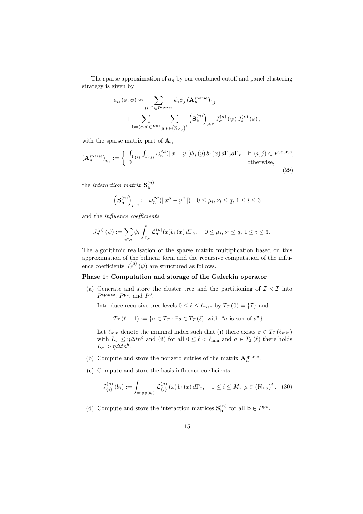The sparse approximation of  $a_n$  by our combined cutoff and panel-clustering strategy is given by

$$
a_n (\phi, \psi) \approx \sum_{(i,j) \in P^{\text{sparse}}} \psi_i \phi_j (\mathbf{A}_n^{\text{sparse}})_{i,j}
$$
  
+ 
$$
\sum_{\mathbf{b} = (\sigma, s) \in P^{\text{pc}}} \sum_{\mu, \nu \in (\mathbb{N}_{\leq q})^3} (\mathbf{S}_{\mathbf{b}}^{(n)})_{\mu, \nu} J_{\sigma}^{(\mu)} (\psi) J_s^{(\nu)} (\phi),
$$

with the sparse matrix part of  $A_n$ 

$$
\left(\mathbf{A}_{n}^{\text{sparse}}\right)_{i,j} := \begin{cases} \int_{\Gamma_{\{i\}}} \int_{\Gamma_{\{j\}}} \omega_{n}^{\Delta t}(\|x-y\|) b_j\left(y\right) b_i\left(x\right) d\Gamma_y d\Gamma_x & \text{if } (i,j) \in P^{\text{sparse}},\\ 0 & \text{otherwise}, \end{cases}
$$
\n(29)

the *interaction matrix*  $S_b^{(n)}$ 

$$
\left(\mathbf{S}_{\mathbf{b}}^{(n)}\right)_{\mu,\nu} := \omega_n^{\Delta t} (\|x^{\mu} - y^{\nu}\|) \quad 0 \le \mu_i, \nu_i \le q, \ 1 \le i \le 3
$$

and the *influence coefficients*

$$
J_{\sigma}^{(\mu)}(\psi) := \sum_{i \in \sigma} \psi_i \int_{\Gamma_{\sigma}} \mathcal{L}_{\sigma}^{(\mu)}(x) b_i(x) d\Gamma_x, \quad 0 \le \mu_i, \nu_i \le q, \ 1 \le i \le 3.
$$

The algorithmic realisation of the sparse matrix multiplication based on this approximation of the bilinear form and the recursive computation of the influence coefficients  $J_{\sigma}^{(\mu)}(\psi)$  are structured as follows.

### **Phase 1: Computation and storage of the Galerkin operator**

(a) Generate and store the cluster tree and the partitioning of  $\mathcal{I} \times \mathcal{I}$  into  $P<sup>sparse</sup>$ ,  $P<sup>pc</sup>$ , and  $P<sup>0</sup>$ .

Introduce recursive tree levels  $0 \leq \ell \leq \ell_{\max}$  by  $T_{\mathcal{I}}(0) = {\mathcal{I}}$  and

$$
T_{\mathcal{I}}(\ell + 1) := \left\{ \sigma \in T_{\mathcal{I}} : \exists s \in T_{\mathcal{I}}(\ell) \text{ with " } \sigma \text{ is son of } s \right\}.
$$

Let  $\ell_{\min}$  denote the minimal index such that (i) there exists  $\sigma \in T_I$  ( $\ell_{\min}$ )<br>with  $I_{\sigma} \leq \pi \Delta t n^b$  and (ii) for all  $0 \leq \ell \leq \ell$  and  $\tau \in T_{\epsilon}$  ( $\ell$ ) there holds with  $L_{\sigma} \leq \eta \Delta t n^{b}$  and (ii) for all  $0 \leq \ell < \ell_{\min}$  and  $\sigma \in T_{\mathcal{I}}(\ell)$  there holds  $L_{\sigma} > \eta \Delta t n^{b}$ .

- (b) Compute and store the nonzero entries of the matrix  $\mathbf{A}_n^{\text{sparse}}$ .
- (c) Compute and store the basis influence coefficients

$$
J_{\{i\}}^{(\mu)}(b_i) := \int_{\text{supp}(b_i)} \mathcal{L}_{\{i\}}^{(\mu)}(x) b_i(x) d\Gamma_x, \quad 1 \le i \le M, \ \mu \in (\mathbb{N}_{\le q})^3. \tag{30}
$$

(d) Compute and store the interaction matrices  $S_{\mathbf{b}}^{(n)}$  for all  $\mathbf{b} \in P^{\text{pc}}$ .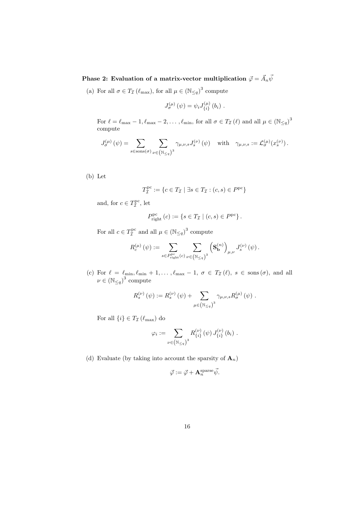**Phase 2: Evaluation of a matrix-vector multiplication**  $\vec{\varphi} = \vec{A}_n \vec{\psi}$ 

(a) For all  $\sigma \in T_{\mathcal{I}}(\ell_{\max})$ , for all  $\mu \in (\mathbb{N}_{\leq q})^3$  compute

$$
J_{\sigma}^{(\mu)}(\psi) = \psi_i J_{\{i\}}^{(\mu)}(b_i) .
$$

For  $\ell = \ell_{\max} - 1, \ell_{\max} - 2, \dots, \ell_{\min}$ , for all  $\sigma \in T_{\mathcal{I}}(\ell)$  and all  $\mu \in (\mathbb{N}_{\leq q})^3$ compute

$$
J_{\sigma}^{(\mu)}(\psi) = \sum_{s \in \text{sons}(\sigma)} \sum_{\nu \in (\mathbb{N}_{\leq q})^3} \gamma_{\mu,\nu,s} J_s^{(\nu)}(\psi) \quad \text{with} \quad \gamma_{\mu,\nu,s} := \mathcal{L}_{\sigma}^{(\mu)}(x_s^{(\nu)})\,.
$$

(b) Let

$$
T_{\mathcal{I}}^{\text{pc}} := \{ c \in T_{\mathcal{I}} \mid \exists s \in T_{\mathcal{I}} : (c, s) \in P^{\text{pc}} \}
$$

and, for  $c \in T_{\mathcal{I}}^{\text{pc}}$ , let

$$
P_{\text{right}}^{\text{pc}}(c) := \{ s \in T_{\mathcal{I}} \mid (c, s) \in P^{\text{pc}} \}.
$$

For all  $c \in T_{\mathcal{I}}^{\text{pc}}$  and all  $\mu \in (\mathbb{N}_{\leq q})^3$  compute

$$
R_c^{(\mu)}\left(\psi\right) := \sum_{s \in P_{\text{right}}^{\text{pc}}\left(c\right)} \sum_{\nu \in \left(\mathbb{N} \leq q\right)^3} \left(\mathbf{S}_{\mathbf{b}}^{(n)}\right)_{\mu,\nu} J_s^{(\nu)}\left(\psi\right).
$$

(c) For  $\ell = \ell_{\min}, \ell_{\min} + 1, \ldots, \ell_{\max} - 1, \sigma \in T_{\mathcal{I}}(\ell), s \in \text{sons}(\sigma)$ , and all  $\nu \in (\mathbb{N}_{\leq q})^3$  compute

$$
R_s^{(\nu)} (\psi) := R_s^{(\nu)} (\psi) + \sum_{\mu \in (\mathbb{N}_{\leq q})^3} \gamma_{\mu, \nu, s} R_\sigma^{(\mu)} (\psi) .
$$

For all  $\{i\} \in T_{\mathcal{I}}(\ell_{\max})$  do

$$
\varphi_i := \sum_{\nu \in (\mathbb{N}_{\leq q})^3} R^{(\nu)}_{\{i\}}(\psi) J^{(\nu)}_{\{i\}}(b_i) .
$$

(d) Evaluate (by taking into account the sparsity of  $A_n$ )

$$
\vec{\varphi} := \vec{\varphi} + \mathbf{A}_n^{\text{sparse}} \vec{\psi}.
$$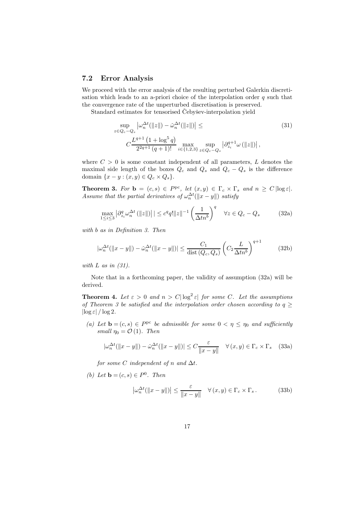### **7.2 Error Analysis**

We proceed with the error analysis of the resulting perturbed Galerkin discretisation which leads to an a-priori choice of the interpolation order  $q$  such that the convergence rate of the unperturbed discretisation is preserved.

Standard estimates for tensorised Čebyšev-interpolation yield

$$
\sup_{z \in Q_c - Q_s} |\omega_n^{\Delta t}(\|z\|) - \check{\omega}_n^{\Delta t}(\|z\|)| \le
$$
\n
$$
C \frac{L^{q+1} (1 + \log^5 q)}{2^{2q+1} (q+1)!} \max_{i \in \{1, 2, 3\}} \sup_{z \in Q_c - Q_s} |\partial_{z_i}^{q+1} \omega(\|z\|)|,
$$
\n
$$
(31)
$$

where  $C > 0$  is some constant independent of all parameters, L denotes the maximal side length of the boxes  $Q_c$  and  $Q_s$  and  $Q_c - Q_s$  is the difference domain  $\{x - y : (x, y) \in Q_c \times Q_s\}.$ 

**Theorem 3.** For  $\mathbf{b} = (c, s) \in P^{\text{pc}}$ , let  $(x, y) \in \Gamma_c \times \Gamma_s$  and  $n \geq C \log \varepsilon$ . *Assume that the partial derivatives of*  $\omega_n^{\Delta t}(\|x-y\|)$  *satisfy* 

$$
\max_{1 \le i \le 3} \left| \partial_{z_i}^q \omega_n^{\Delta t} \left( ||z|| \right) \right| \le c^q q! ||z||^{-1} \left( \frac{1}{\Delta t n^b} \right)^q \quad \forall z \in Q_c - Q_s \tag{32a}
$$

*with* b *as in Definition 3. Then*

$$
|\omega_n^{\Delta t}(\|x-y\|) - \check{\omega}_n^{\Delta t}(\|x-y\|)| \le \frac{C_1}{\text{dist}\left(Q_c, Q_s\right)} \left(C_2 \frac{L}{\Delta t n^b}\right)^{q+1} \tag{32b}
$$

*with* L *as in (31).*

Note that in a forthcoming paper, the validity of assumption (32a) will be derived.

**Theorem 4.** Let  $\varepsilon > 0$  and  $n > C|\log^2 \varepsilon|$  for some C. Let the assumptions *of Theorem 3 be satisfied and the interpolation order chosen according to*  $q \geq$  $|\log \varepsilon| / \log 2$ .

(a) Let  $\mathbf{b} = (c, s) \in P^{\text{pc}}$  *be admissible for some*  $0 < \eta \leq \eta_0$  *and sufficiently small*  $\eta_0 = \mathcal{O}(1)$ *. Then* 

$$
|\omega_n^{\Delta t}(\|x-y\|) - \check{\omega}_n^{\Delta t}(\|x-y\|)| \le C \frac{\varepsilon}{\|x-y\|} \quad \forall (x,y) \in \Gamma_c \times \Gamma_s \quad (33a)
$$

*for some*  $C$  *independent of*  $n$  *and*  $\Delta t$ *.* 

*(b)* Let **b** =  $(c, s)$  ∈  $P^0$ *. Then* 

$$
\left|\omega_n^{\Delta t}(\|x-y\|)\right| \le \frac{\varepsilon}{\|x-y\|} \quad \forall (x,y) \in \Gamma_c \times \Gamma_s. \tag{33b}
$$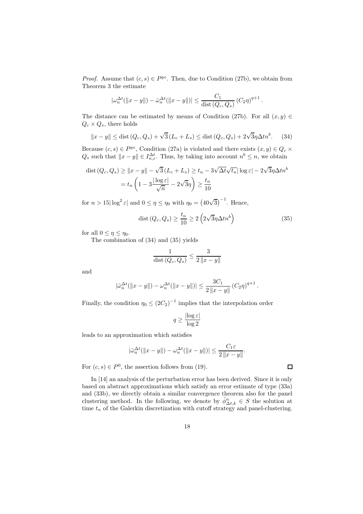*Proof.* Assume that  $(c, s) \in P^{\text{pc}}$ . Then, due to Condition (27b), we obtain from Theorem 3 the estimate

$$
|\omega_n^{\Delta t}(\|x-y\|) - \check{\omega}_n^{\Delta t}(\|x-y\|)| \le \frac{C_1}{\text{dist}(Q_c, Q_s)} (C_2 \eta)^{q+1}.
$$

The distance can be estimated by means of Condition (27b). For all  $(x, y) \in$  $Q_c \times Q_s$ , there holds

$$
||x - y|| \le
$$
dist  $(Q_c, Q_s) + \sqrt{3}(L_c + L_s) \le$ dist  $(Q_c, Q_s) + 2\sqrt{3}\eta \Delta t n^b$ . (34)

Because  $(c, s) \in P^{\text{pc}}$ , Condition (27a) is violated and there exists  $(x, y) \in Q_c \times$  $Q_s$  such that  $||x - y|| \in I_{n,\varepsilon}^{\Delta t}$ . Thus, by taking into account  $n^b \leq n$ , we obtain

$$
\text{dist}\left(Q_c, Q_s\right) \ge ||x - y|| - \sqrt{3}\left(L_c + L_s\right) \ge t_n - 3\sqrt{\Delta t}\sqrt{t_n}|\log \varepsilon| - 2\sqrt{3}\eta \Delta t n^b
$$
\n
$$
= t_n \left(1 - 3\frac{|\log \varepsilon|}{\sqrt{n}} - 2\sqrt{3}\eta\right) \ge \frac{t_n}{10}
$$

for  $n > 15|\log^2 \varepsilon|$  and  $0 \le \eta \le \eta_0$  with  $\eta_0 = (40\sqrt{3})^{-1}$ . Hence,

$$
dist(Q_c, Q_s) \ge \frac{t_n}{10} \ge 2\left(2\sqrt{3}\eta \Delta t n^b\right) \tag{35}
$$

 $\Box$ 

for all  $0 \leq \eta \leq \eta_0$ .

The combination of (34) and (35) yields

$$
\frac{1}{\text{dist}(Q_c, Q_s)} \le \frac{3}{2\left\|x - y\right\|}
$$

and

$$
|\check{\omega}_n^{\Delta t}(\|x-y\|) - \omega_n^{\Delta t}(\|x-y\|)| \le \frac{3C_1}{2\|x-y\|} (C_2 \eta)^{q+1}.
$$

Finally, the condition  $\eta_0 \leq (2C_2)^{-1}$  implies that the interpolation order

$$
q \ge \frac{|\log \varepsilon|}{\log 2}
$$

leads to an approximation which satisfies

$$
|\check{\omega}_n^{\Delta t}(\|x-y\|) - \omega_n^{\Delta t}(\|x-y\|)| \le \frac{C_1 \varepsilon}{2 \|x-y\|}.
$$

For  $(c, s) \in P^0$ , the assertion follows from (19).

In [14] an analysis of the perturbation error has been derived. Since it is only based on abstract approximations which satisfy an error estimate of type (33a) and (33b), we directly obtain a similar convergence theorem also for the panel clustering method. In the following, we denote by  $\tilde{\phi}_{\Delta t,k}^n \in S$  the solution at time t of the Galerkin discretization with cutoff strategy and panel clustering time  $t_n$  of the Galerkin discretization with cutoff strategy and panel-clustering.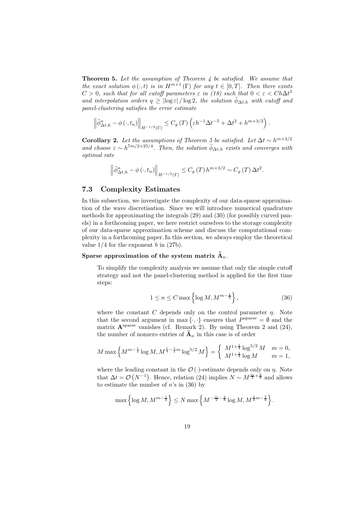**Theorem 5.** *Let the assumption of Theorem 4 be satisfied. We assume that the exact solution*  $\phi(\cdot, t)$  *is in*  $H^{m+1}(\Gamma)$  *for any*  $t \in [0, T]$ *. Then there exists*  $C > 0$ , such that for all cutoff parameters  $\varepsilon$  in (18) such that  $0 < \varepsilon < C h \Delta t^3$ *and interpolation orders*  $q \geq |\log \varepsilon| / \log 2$ , the solution  $\phi_{\Delta t,h}$  with cutoff and *panel-clustering satisfies the error estimate*

$$
\left\|\tilde{\phi}_{\Delta t,h}^{n} - \phi(\cdot,t_n)\right\|_{H^{-1/2}(\Gamma)} \leq C_g(T)\left(\varepsilon h^{-1}\Delta t^{-5} + \Delta t^{2} + h^{m+3/2}\right).
$$

**Corollary 2.** *Let the assumptions of Theorem 5 be satisfied. Let*  $\Delta t \sim h^{m+3/2}$ and choose  $\varepsilon \sim h^{7m/2+25/4}$ . Then, the solution  $\tilde{\phi}_{\Delta t,h}$  exists and converges with *optimal rate*

$$
\left\|\tilde{\phi}_{\Delta t,h}^{n} - \phi(\cdot,t_n)\right\|_{H^{-1/2}(\Gamma)} \leq C_g(T) h^{m+3/2} \sim C_g(T) \Delta t^2.
$$

## **7.3 Complexity Estimates**

In this subsection, we investigate the complexity of our data-sparse approximation of the wave discretisation. Since we will introduce numerical quadrature methods for approximating the integrals (29) and (30) (for possibly curved panels) in a forthcoming paper, we here restrict ourselves to the storage complexity of our data-sparse approximation scheme and discuss the computational complexity in a forthcoming paper. In this section, we always employ the theoretical value  $1/4$  for the exponent b in  $(27b)$ .

#### **Sparse approximation of the system matrix**  $\mathbf{A}_n$ **.**

To simplify the complexity analysis we assume that only the simple cutoff strategy and not the panel-clustering method is applied for the first time steps:

$$
1 \le n \le C \max\left\{\log M, M^{m-\frac{1}{2}}\right\},\tag{36}
$$

where the constant C depends only on the control parameter  $\eta$ . Note that the second argument in max  $\{\cdot,\cdot\}$  ensures that  $P^{\text{sparse}} = \emptyset$  and the matrix  ${\bf A}^{\text{sparse}}$  vanishes (cf. Remark 2). By using Theorem 2 and (24), the number of nonzero entries of  $\tilde{\mathbf{A}}_n$  in this case is of order

$$
M \max \left\{ M^{m - \frac{1}{2}} \log M, M^{\frac{1}{4} - \frac{1}{2}m} \log^{5/2} M \right\} = \left\{ \begin{array}{ll} M^{1 + \frac{1}{4}} \log^{5/2} M & m = 0, \\ M^{1 + \frac{1}{2}} \log M & m = 1, \end{array} \right.
$$

where the leading constant in the  $\mathcal{O}(\cdot)$ -estimate depends only on  $\eta$ . Note that  $\Delta t = \mathcal{O}(N^{-1})$ . Hence, relation (24) implies  $N \sim M^{\frac{m}{4} + \frac{3}{8}}$  and allows to estimate the number of  $n$ 's in  $(36)$  by

$$
\max\left\{\log M, M^{m-\frac{1}{2}}\right\} \le N \max\left\{M^{-\frac{m}{4}-\frac{3}{8}}\log M, M^{\frac{3}{4}m-\frac{7}{8}}\right\}.
$$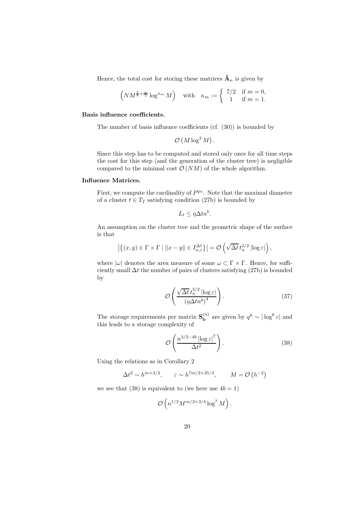Hence, the total cost for storing these matrices  $\tilde{\mathbf{A}}_n$  is given by

$$
\left(NM^{\frac{7}{8}+\frac{m}{2}}\log^{\kappa_m}M\right) \quad \text{with} \quad \kappa_m := \left\{\begin{array}{ll} 7/2 & \text{if } m=0, \\ 1 & \text{if } m=1. \end{array}\right.
$$

#### **Basis influence coefficients.**

The number of basis influence coefficients (cf. (30)) is bounded by

$$
\mathcal{O}\left(M\log^3 M\right).
$$

Since this step has to be computed and stored only once for all time steps the cost for this step (and the generation of the cluster tree) is negligible compared to the minimal cost  $\mathcal{O}(NM)$  of the whole algorithm.

#### **Influence Matrices.**

First, we compute the cardinality of Ppc. Note that the maximal diameter of a cluster  $t \in T_{\mathcal{I}}$  satisfying condition (27b) is bounded by

$$
L_t \leq \eta \Delta t n^b.
$$

An assumption on the cluster tree and the geometric shape of the surface is that

$$
\left| \left\{ (x,y) \in \Gamma \times \Gamma \mid ||x-y|| \in I_{n,\varepsilon}^{\Delta t} \right\} \right| = \mathcal{O} \left( \sqrt{\Delta t} \, t_n^{3/2} \left| \log \varepsilon \right| \right),\,
$$

where  $|\omega|$  denotes the area measure of some  $\omega \subset \Gamma \times \Gamma$ . Hence, for sufficiently small  $\Delta t$  the number of pairs of clusters satisfying (27b) is bounded by

$$
\mathcal{O}\left(\frac{\sqrt{\Delta t} \, t_n^{3/2} \left| \log \varepsilon \right|}{\left(\eta \Delta t n^b\right)^4}\right). \tag{37}
$$

The storage requirements per matrix  $S_b^{(n)}$  are given by  $q^6 \sim |\log^6 \varepsilon|$  and this leads to a storage complexity of

$$
\mathcal{O}\left(\frac{n^{3/2-4b}\left|\log\varepsilon\right|^7}{\Delta t^2}\right). \tag{38}
$$

Using the relations as in Corollary 2

$$
\Delta t^2 \sim h^{m+3/2}, \qquad \varepsilon \sim h^{7m/2+25/4}, \qquad M = \mathcal{O}\left(h^{-2}\right)
$$

we see that (38) is equivalent to (we here use  $4b = 1$ )

$$
\mathcal{O}\left(n^{1/2}M^{m/2+3/4}\log^7 M\right).
$$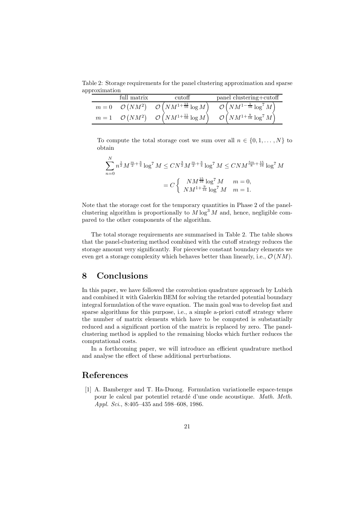Table 2: Storage requirements for the panel clustering approximation and sparse approximation

|       | full matrix         | cutoff                                                | panel clustering+cutoff                                 |
|-------|---------------------|-------------------------------------------------------|---------------------------------------------------------|
| $m=0$ | $\mathcal{O}(NM^2)$ | $\mathcal{O}\left(N M^{1+\frac{13}{16}}\log M\right)$ | $\mathcal{O}\left(N M^{1-\frac{1}{16}} \log^7 M\right)$ |
| $m=1$ | $\mathcal{O}(NM^2)$ | $\mathcal{O}\left(NM^{1+\frac{11}{16}}\log M\right)$  | $\mathcal{O}\left(NM^{1+\frac{9}{16}}\log^7 M\right)$   |

To compute the total storage cost we sum over all  $n \in \{0, 1, \ldots, N\}$  to obtain

$$
\sum_{n=0}^{N} n^{\frac{1}{2}} M^{\frac{m}{2} + \frac{3}{4}} \log^{7} M \leq CN^{\frac{3}{2}} M^{\frac{m}{2} + \frac{3}{4}} \log^{7} M \leq CN M^{\frac{5m}{8} + \frac{15}{16}} \log^{7} M
$$
  
=  $C \begin{cases} N M^{\frac{15}{16}} \log^{7} M & m = 0, \\ N M^{1 + \frac{9}{16}} \log^{7} M & m = 1. \end{cases}$ 

Note that the storage cost for the temporary quantities in Phase 2 of the panelclustering algorithm is proportionally to  $M \log^3 M$  and, hence, negligible compared to the other components of the algorithm.

The total storage requirements are summarised in Table 2. The table shows that the panel-clustering method combined with the cutoff strategy reduces the storage amount very significantly. For piecewise constant boundary elements we even get a storage complexity which behaves better than linearly, i.e.,  $\mathcal{O}(NM)$ .

## **8 Conclusions**

In this paper, we have followed the convolution quadrature approach by Lubich and combined it with Galerkin BEM for solving the retarded potential boundary integral formulation of the wave equation. The main goal was to develop fast and sparse algorithms for this purpose, i.e., a simple a-priori cutoff strategy where the number of matrix elements which have to be computed is substantially reduced and a significant portion of the matrix is replaced by zero. The panelclustering method is applied to the remaining blocks which further reduces the computational costs.

In a forthcoming paper, we will introduce an efficient quadrature method and analyse the effect of these additional perturbations.

## **References**

[1] A. Bamberger and T. Ha-Duong. Formulation variationelle espace-temps pour le calcul par potentiel retard´e d'une onde acoustique. *Math. Meth. Appl. Sci.*, 8:405–435 and 598–608, 1986.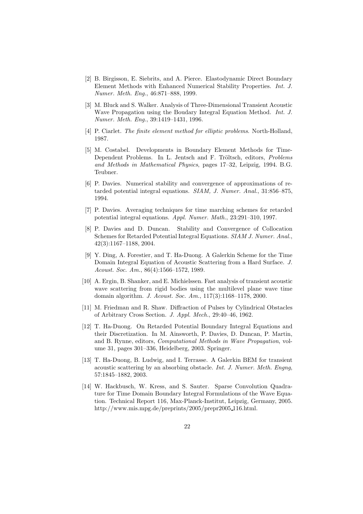- [2] B. Birgisson, E. Siebrits, and A. Pierce. Elastodynamic Direct Boundary Element Methods with Enhanced Numerical Stability Properties. *Int. J. Numer. Meth. Eng.*, 46:871–888, 1999.
- [3] M. Bluck and S. Walker. Analysis of Three-Dimensional Transient Acoustic Wave Propagation using the Boudary Integral Equation Method. *Int. J. Numer. Meth. Eng.*, 39:1419–1431, 1996.
- [4] P. Ciarlet. *The finite element method for elliptic problems*. North-Holland, 1987.
- [5] M. Costabel. Developments in Boundary Element Methods for Time-Dependent Problems. In L. Jentsch and F. Tröltsch, editors, *Problems and Methods in Mathematical Physics*, pages 17–32, Leipzig, 1994. B.G. Teubner.
- [6] P. Davies. Numerical stability and convergence of approximations of retarded potential integral equations. *SIAM, J. Numer. Anal.*, 31:856–875, 1994.
- [7] P. Davies. Averaging techniques for time marching schemes for retarded potential integral equations. *Appl. Numer. Math.*, 23:291–310, 1997.
- [8] P. Davies and D. Duncan. Stability and Convergence of Collocation Schemes for Retarded Potential Integral Equations. *SIAM J. Numer. Anal.*, 42(3):1167–1188, 2004.
- [9] Y. Ding, A. Forestier, and T. Ha-Duong. A Galerkin Scheme for the Time Domain Integral Equation of Acoustic Scattering from a Hard Surface. *J. Acoust. Soc. Am.*, 86(4):1566–1572, 1989.
- [10] A. Ergin, B. Shanker, and E. Michielssen. Fast analysis of transient acoustic wave scattering from rigid bodies using the multilevel plane wave time domain algorithm. *J. Acoust. Soc. Am.*, 117(3):1168–1178, 2000.
- [11] M. Friedman and R. Shaw. Diffraction of Pulses by Cylindrical Obstacles of Arbitrary Cross Section. *J. Appl. Mech.*, 29:40–46, 1962.
- [12] T. Ha-Duong. On Retarded Potential Boundary Integral Equations and their Discretization. In M. Ainsworth, P. Davies, D. Duncan, P. Martin, and B. Rynne, editors, *Computational Methods in Wave Propagation*, volume 31, pages 301–336, Heidelberg, 2003. Springer.
- [13] T. Ha-Duong, B. Ludwig, and I. Terrasse. A Galerkin BEM for transient acoustic scattering by an absorbing obstacle. *Int. J. Numer. Meth. Engng*, 57:1845–1882, 2003.
- [14] W. Hackbusch, W. Kress, and S. Sauter. Sparse Convolution Quadrature for Time Domain Boundary Integral Formulations of the Wave Equation. Technical Report 116, Max-Planck-Institut, Leipzig, Germany, 2005. http://www.mis.mpg.de/preprints/2005/prepr2005 116.html.